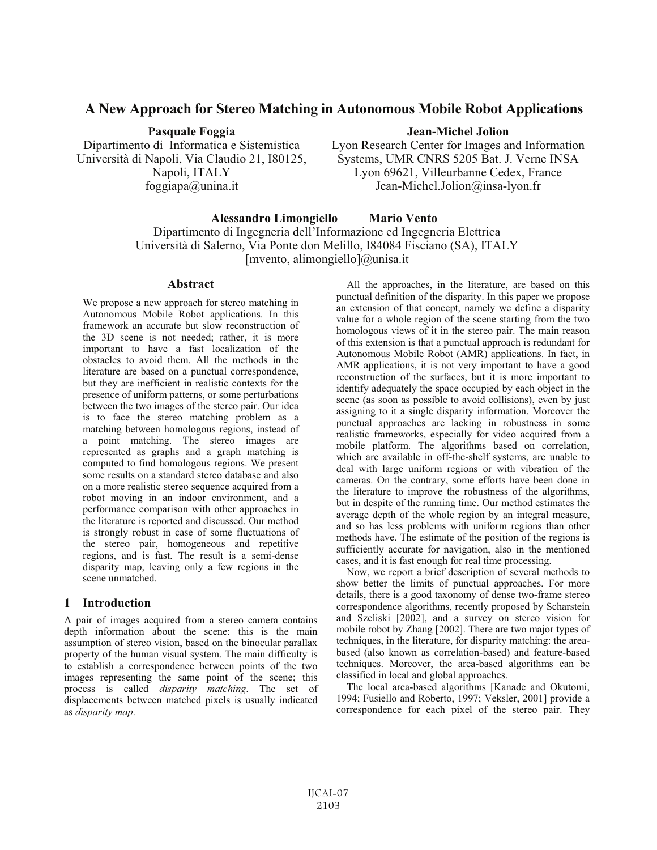# **A New Approach for Stereo Matching in Autonomous Mobile Robot Applications**

**Pasquale Foggia**  Dipartimento di Informatica e Sistemistica Università di Napoli, Via Claudio 21, I80125, Napoli, ITALY foggiapa@unina.it

## **Jean-Michel Jolion**

Lyon Research Center for Images and Information Systems, UMR CNRS 5205 Bat. J. Verne INSA Lyon 69621, Villeurbanne Cedex, France Jean-Michel.Jolion@insa-lyon.fr

**Alessandro Limongiello Mario Vento**  Dipartimento di Ingegneria dell'Informazione ed Ingegneria Elettrica Università di Salerno, Via Ponte don Melillo, I84084 Fisciano (SA), ITALY [mvento, alimongiello]@unisa.it

## **Abstract**

We propose a new approach for stereo matching in Autonomous Mobile Robot applications. In this framework an accurate but slow reconstruction of the 3D scene is not needed; rather, it is more important to have a fast localization of the obstacles to avoid them. All the methods in the literature are based on a punctual correspondence, but they are inefficient in realistic contexts for the presence of uniform patterns, or some perturbations between the two images of the stereo pair. Our idea is to face the stereo matching problem as a matching between homologous regions, instead of a point matching. The stereo images are represented as graphs and a graph matching is computed to find homologous regions. We present some results on a standard stereo database and also on a more realistic stereo sequence acquired from a robot moving in an indoor environment, and a performance comparison with other approaches in the literature is reported and discussed. Our method is strongly robust in case of some fluctuations of the stereo pair, homogeneous and repetitive regions, and is fast. The result is a semi-dense disparity map, leaving only a few regions in the scene unmatched.

# **1 Introduction**

A pair of images acquired from a stereo camera contains depth information about the scene: this is the main assumption of stereo vision, based on the binocular parallax property of the human visual system. The main difficulty is to establish a correspondence between points of the two images representing the same point of the scene; this process is called *disparity matching*. The set of displacements between matched pixels is usually indicated as *disparity map*.

All the approaches, in the literature, are based on this punctual definition of the disparity. In this paper we propose an extension of that concept, namely we define a disparity value for a whole region of the scene starting from the two homologous views of it in the stereo pair. The main reason of this extension is that a punctual approach is redundant for Autonomous Mobile Robot (AMR) applications. In fact, in AMR applications, it is not very important to have a good reconstruction of the surfaces, but it is more important to identify adequately the space occupied by each object in the scene (as soon as possible to avoid collisions), even by just assigning to it a single disparity information. Moreover the punctual approaches are lacking in robustness in some realistic frameworks, especially for video acquired from a mobile platform. The algorithms based on correlation, which are available in off-the-shelf systems, are unable to deal with large uniform regions or with vibration of the cameras. On the contrary, some efforts have been done in the literature to improve the robustness of the algorithms, but in despite of the running time. Our method estimates the average depth of the whole region by an integral measure, and so has less problems with uniform regions than other methods have. The estimate of the position of the regions is sufficiently accurate for navigation, also in the mentioned cases, and it is fast enough for real time processing.

Now, we report a brief description of several methods to show better the limits of punctual approaches. For more details, there is a good taxonomy of dense two-frame stereo correspondence algorithms, recently proposed by Scharstein and Szeliski [2002], and a survey on stereo vision for mobile robot by Zhang [2002]. There are two major types of techniques, in the literature, for disparity matching: the areabased (also known as correlation-based) and feature-based techniques. Moreover, the area-based algorithms can be classified in local and global approaches.

The local area-based algorithms [Kanade and Okutomi, 1994; Fusiello and Roberto, 1997; Veksler, 2001] provide a correspondence for each pixel of the stereo pair. They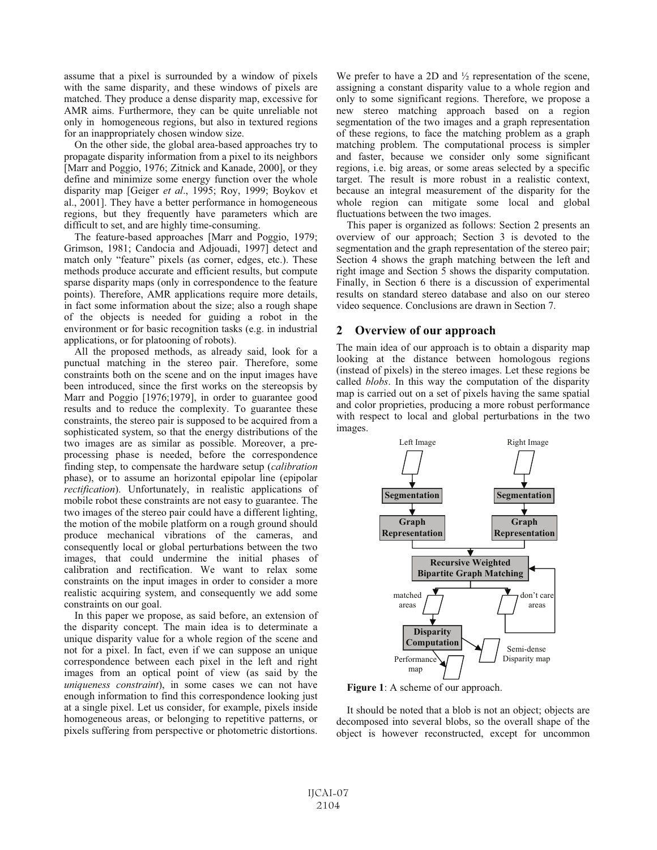assume that a pixel is surrounded by a window of pixels with the same disparity, and these windows of pixels are matched. They produce a dense disparity map, excessive for AMR aims. Furthermore, they can be quite unreliable not only in homogeneous regions, but also in textured regions for an inappropriately chosen window size.

On the other side, the global area-based approaches try to propagate disparity information from a pixel to its neighbors [Marr and Poggio, 1976; Zitnick and Kanade, 2000], or they define and minimize some energy function over the whole disparity map [Geiger *et al*., 1995; Roy, 1999; Boykov et al., 2001]. They have a better performance in homogeneous regions, but they frequently have parameters which are difficult to set, and are highly time-consuming.

The feature-based approaches [Marr and Poggio, 1979; Grimson, 1981; Candocia and Adjouadi, 1997] detect and match only "feature" pixels (as corner, edges, etc.). These methods produce accurate and efficient results, but compute sparse disparity maps (only in correspondence to the feature points). Therefore, AMR applications require more details, in fact some information about the size; also a rough shape of the objects is needed for guiding a robot in the environment or for basic recognition tasks (e.g. in industrial applications, or for platooning of robots).

All the proposed methods, as already said, look for a punctual matching in the stereo pair. Therefore, some constraints both on the scene and on the input images have been introduced, since the first works on the stereopsis by Marr and Poggio [1976;1979], in order to guarantee good results and to reduce the complexity. To guarantee these constraints, the stereo pair is supposed to be acquired from a sophisticated system, so that the energy distributions of the two images are as similar as possible. Moreover, a preprocessing phase is needed, before the correspondence finding step, to compensate the hardware setup (*calibration* phase), or to assume an horizontal epipolar line (epipolar *rectification*). Unfortunately, in realistic applications of mobile robot these constraints are not easy to guarantee. The two images of the stereo pair could have a different lighting, the motion of the mobile platform on a rough ground should produce mechanical vibrations of the cameras, and consequently local or global perturbations between the two images, that could undermine the initial phases of calibration and rectification. We want to relax some constraints on the input images in order to consider a more realistic acquiring system, and consequently we add some constraints on our goal.

In this paper we propose, as said before, an extension of the disparity concept. The main idea is to determinate a unique disparity value for a whole region of the scene and not for a pixel. In fact, even if we can suppose an unique correspondence between each pixel in the left and right images from an optical point of view (as said by the *uniqueness constraint*), in some cases we can not have enough information to find this correspondence looking just at a single pixel. Let us consider, for example, pixels inside homogeneous areas, or belonging to repetitive patterns, or pixels suffering from perspective or photometric distortions.

We prefer to have a 2D and  $\frac{1}{2}$  representation of the scene, assigning a constant disparity value to a whole region and only to some significant regions. Therefore, we propose a new stereo matching approach based on a region segmentation of the two images and a graph representation of these regions, to face the matching problem as a graph matching problem. The computational process is simpler and faster, because we consider only some significant regions, i.e. big areas, or some areas selected by a specific target. The result is more robust in a realistic context, because an integral measurement of the disparity for the whole region can mitigate some local and global fluctuations between the two images.

This paper is organized as follows: Section 2 presents an overview of our approach; Section 3 is devoted to the segmentation and the graph representation of the stereo pair; Section 4 shows the graph matching between the left and right image and Section 5 shows the disparity computation. Finally, in Section 6 there is a discussion of experimental results on standard stereo database and also on our stereo video sequence. Conclusions are drawn in Section 7.

#### **2 Overview of our approach**

The main idea of our approach is to obtain a disparity map looking at the distance between homologous regions (instead of pixels) in the stereo images. Let these regions be called *blobs*. In this way the computation of the disparity map is carried out on a set of pixels having the same spatial and color proprieties, producing a more robust performance with respect to local and global perturbations in the two images.



**Figure 1**: A scheme of our approach.

It should be noted that a blob is not an object; objects are decomposed into several blobs, so the overall shape of the object is however reconstructed, except for uncommon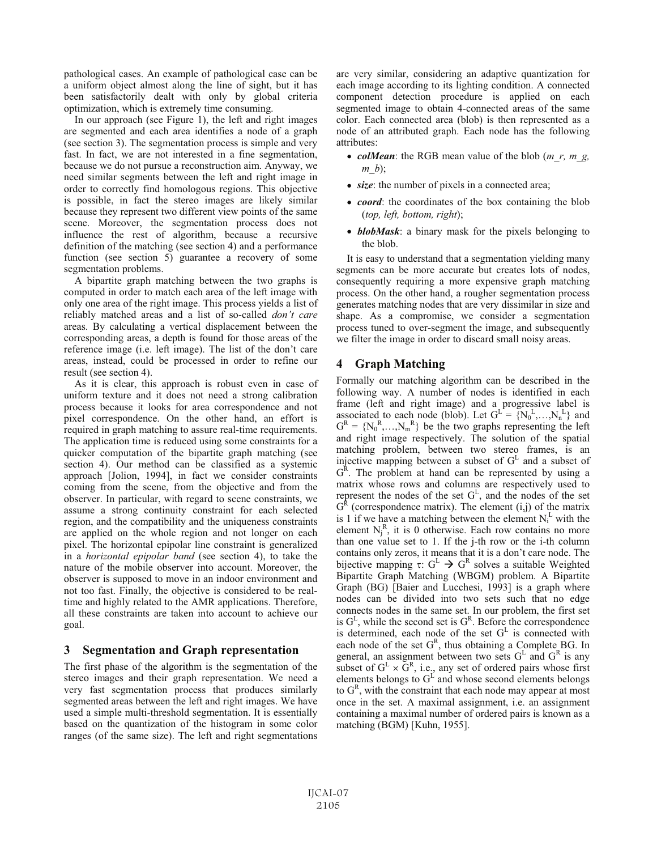pathological cases. An example of pathological case can be a uniform object almost along the line of sight, but it has been satisfactorily dealt with only by global criteria optimization, which is extremely time consuming.

In our approach (see Figure 1), the left and right images are segmented and each area identifies a node of a graph (see section 3). The segmentation process is simple and very fast. In fact, we are not interested in a fine segmentation, because we do not pursue a reconstruction aim. Anyway, we need similar segments between the left and right image in order to correctly find homologous regions. This objective is possible, in fact the stereo images are likely similar because they represent two different view points of the same scene. Moreover, the segmentation process does not influence the rest of algorithm, because a recursive definition of the matching (see section 4) and a performance function (see section 5) guarantee a recovery of some segmentation problems.

A bipartite graph matching between the two graphs is computed in order to match each area of the left image with only one area of the right image. This process yields a list of reliably matched areas and a list of so-called *don't care* areas. By calculating a vertical displacement between the corresponding areas, a depth is found for those areas of the reference image (i.e. left image). The list of the don't care areas, instead, could be processed in order to refine our result (see section 4).

As it is clear, this approach is robust even in case of uniform texture and it does not need a strong calibration process because it looks for area correspondence and not pixel correspondence. On the other hand, an effort is required in graph matching to assure real-time requirements. The application time is reduced using some constraints for a quicker computation of the bipartite graph matching (see section 4). Our method can be classified as a systemic approach [Jolion, 1994], in fact we consider constraints coming from the scene, from the objective and from the observer. In particular, with regard to scene constraints, we assume a strong continuity constraint for each selected region, and the compatibility and the uniqueness constraints are applied on the whole region and not longer on each pixel. The horizontal epipolar line constraint is generalized in a *horizontal epipolar band* (see section 4), to take the nature of the mobile observer into account. Moreover, the observer is supposed to move in an indoor environment and not too fast. Finally, the objective is considered to be realtime and highly related to the AMR applications. Therefore, all these constraints are taken into account to achieve our goal.

## **3 Segmentation and Graph representation**

The first phase of the algorithm is the segmentation of the stereo images and their graph representation. We need a very fast segmentation process that produces similarly segmented areas between the left and right images. We have used a simple multi-threshold segmentation. It is essentially based on the quantization of the histogram in some color ranges (of the same size). The left and right segmentations are very similar, considering an adaptive quantization for each image according to its lighting condition. A connected component detection procedure is applied on each segmented image to obtain 4-connected areas of the same color. Each connected area (blob) is then represented as a node of an attributed graph. Each node has the following attributes:

- *colMean*: the RGB mean value of the blob (*m\_r, m\_g, m\_b*);
- *size*: the number of pixels in a connected area;
- *coord*: the coordinates of the box containing the blob (*top, left, bottom, right*);
- *blobMask*: a binary mask for the pixels belonging to the blob.

It is easy to understand that a segmentation yielding many segments can be more accurate but creates lots of nodes, consequently requiring a more expensive graph matching process. On the other hand, a rougher segmentation process generates matching nodes that are very dissimilar in size and shape. As a compromise, we consider a segmentation process tuned to over-segment the image, and subsequently we filter the image in order to discard small noisy areas.

# **4 Graph Matching**

Formally our matching algorithm can be described in the following way. A number of nodes is identified in each frame (left and right image) and a progressive label is associated to each node (blob). Let  $G^L = \{N_0^L, ..., N_n^L\}$  and  $G^R = \{N_0^R, ..., N_m^R\}$  be the two graphs representing the left and right image respectively. The solution of the spatial matching problem, between two stereo frames, is an injective mapping between a subset of  $G<sup>L</sup>$  and a subset of  $G<sup>R</sup>$ . The problem at hand can be represented by using a matrix whose rows and columns are respectively used to represent the nodes of the set  $G<sup>L</sup>$ , and the nodes of the set  $G<sup>R</sup>$  (correspondence matrix). The element (i,j) of the matrix is 1 if we have a matching between the element  $N_i^L$  with the element  $N_j^R$ , it is 0 otherwise. Each row contains no more than one value set to 1. If the j-th row or the i-th column contains only zeros, it means that it is a don't care node. The bijective mapping  $\tau: G^L \to G^R$  solves a suitable Weighted Bipartite Graph Matching (WBGM) problem. A Bipartite Graph (BG) [Baier and Lucchesi, 1993] is a graph where nodes can be divided into two sets such that no edge connects nodes in the same set. In our problem, the first set is  $G<sup>L</sup>$ , while the second set is  $G<sup>R</sup>$ . Before the correspondence is determined, each node of the set  $G<sup>L</sup>$  is connected with each node of the set  $G<sup>R</sup>$ , thus obtaining a Complete BG. In general, an assignment between two sets  $G<sup>L</sup>$  and  $G<sup>R</sup>$  is any subset of  $G^L \times G^R$ , i.e., any set of ordered pairs whose first elements belongs to  $G<sup>L</sup>$  and whose second elements belongs to  $G<sup>R</sup>$ , with the constraint that each node may appear at most once in the set. A maximal assignment, i.e. an assignment containing a maximal number of ordered pairs is known as a matching (BGM) [Kuhn, 1955].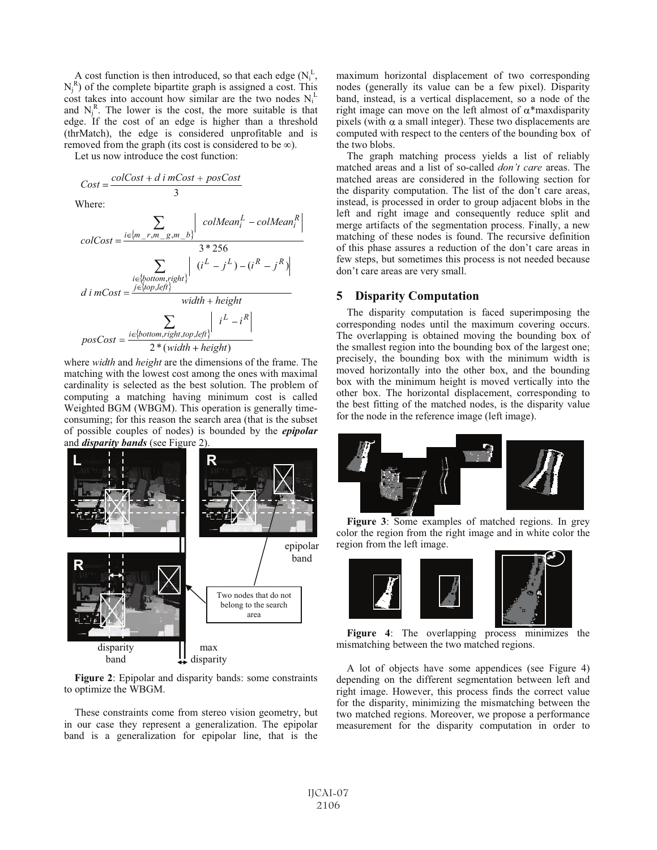A cost function is then introduced, so that each edge  $(N_i^L,$  $N_j^R$ ) of the complete bipartite graph is assigned a cost. This cost takes into account how similar are the two nodes  $N_i^L$ and  $N_j^R$ . The lower is the cost, the more suitable is that edge. If the cost of an edge is higher than a threshold (thrMatch), the edge is considered unprofitable and is removed from the graph (its cost is considered to be  $\infty$ ).

Let us now introduce the cost function:

$$
Cost = \frac{colCost + d \text{ } i \text{ } mCost + posCost}}{3}
$$
  
Where:  

$$
\sum \text{ } colMean_{c}^{L}
$$

$$
\sum_{\substack{i \in \{m-r, m=g, m_b\} \\ i \in \{bottom, right\}}} \left| \begin{array}{c} colMean_i^L - colMean_i^R \\ 3 * 256 \end{array} \right|
$$
\n
$$
d \text{ in} Cost = \frac{j \in \{top, left\}}{1} \left| \begin{array}{c} (i^L - j^L) - (i^R - j^R) \\ (i^L - j^L) - (i^R - j^R) \end{array} \right|
$$
\n
$$
p \text{ is } cost = \frac{j \in \{top, left\}}{2 * (width + height)}
$$

where *width* and *height* are the dimensions of the frame. The matching with the lowest cost among the ones with maximal cardinality is selected as the best solution. The problem of computing a matching having minimum cost is called Weighted BGM (WBGM). This operation is generally timeconsuming; for this reason the search area (that is the subset of possible couples of nodes) is bounded by the *epipolar* and *disparity bands* (see Figure 2).



**Figure 2**: Epipolar and disparity bands: some constraints to optimize the WBGM.

These constraints come from stereo vision geometry, but in our case they represent a generalization. The epipolar band is a generalization for epipolar line, that is the maximum horizontal displacement of two corresponding nodes (generally its value can be a few pixel). Disparity band, instead, is a vertical displacement, so a node of the right image can move on the left almost of  $\alpha^*$ maxdisparity pixels (with  $\alpha$  a small integer). These two displacements are computed with respect to the centers of the bounding box of the two blobs.

The graph matching process yields a list of reliably matched areas and a list of so-called *don't care* areas. The matched areas are considered in the following section for the disparity computation. The list of the don't care areas, instead, is processed in order to group adjacent blobs in the left and right image and consequently reduce split and merge artifacts of the segmentation process. Finally, a new matching of these nodes is found. The recursive definition of this phase assures a reduction of the don't care areas in few steps, but sometimes this process is not needed because don't care areas are very small.

## **5 Disparity Computation**

The disparity computation is faced superimposing the corresponding nodes until the maximum covering occurs. The overlapping is obtained moving the bounding box of the smallest region into the bounding box of the largest one; precisely, the bounding box with the minimum width is moved horizontally into the other box, and the bounding box with the minimum height is moved vertically into the other box. The horizontal displacement, corresponding to the best fitting of the matched nodes, is the disparity value for the node in the reference image (left image).



**Figure 3**: Some examples of matched regions. In grey color the region from the right image and in white color the region from the left image.



**Figure 4**: The overlapping process minimizes the mismatching between the two matched regions.

A lot of objects have some appendices (see Figure 4) depending on the different segmentation between left and right image. However, this process finds the correct value for the disparity, minimizing the mismatching between the two matched regions. Moreover, we propose a performance measurement for the disparity computation in order to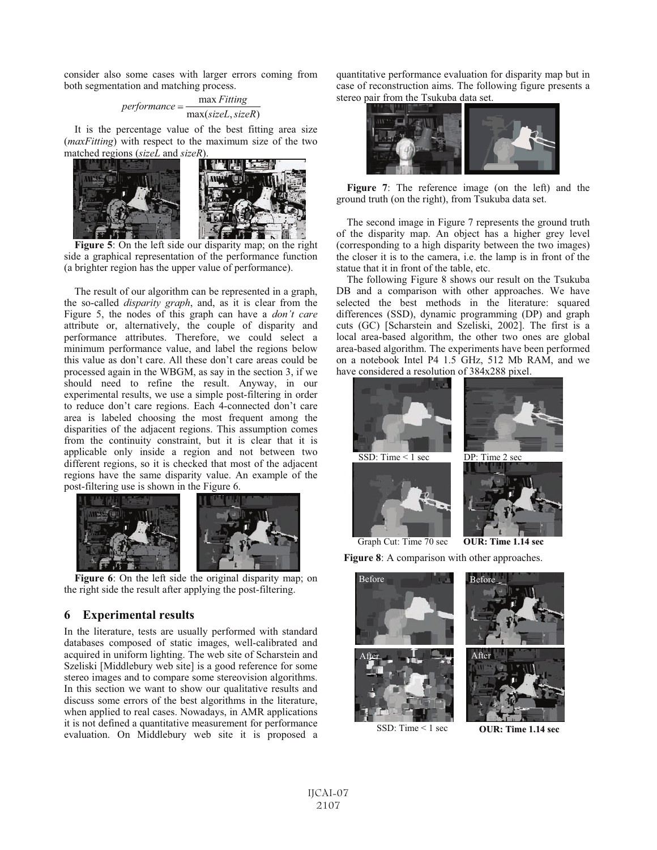consider also some cases with larger errors coming from both segmentation and matching process.

$$
performance = \frac{\max Fitting}{\max(sizeL, sizeR)}
$$

 It is the percentage value of the best fitting area size (*maxFitting*) with respect to the maximum size of the two matched regions (*sizeL* and *sizeR*).



**Figure 5**: On the left side our disparity map; on the right side a graphical representation of the performance function (a brighter region has the upper value of performance).

The result of our algorithm can be represented in a graph, the so-called *disparity graph*, and, as it is clear from the Figure 5, the nodes of this graph can have a *don't care* attribute or, alternatively, the couple of disparity and performance attributes. Therefore, we could select a minimum performance value, and label the regions below this value as don't care. All these don't care areas could be processed again in the WBGM, as say in the section 3, if we should need to refine the result. Anyway, in our experimental results, we use a simple post-filtering in order to reduce don't care regions. Each 4-connected don't care area is labeled choosing the most frequent among the disparities of the adjacent regions. This assumption comes from the continuity constraint, but it is clear that it is applicable only inside a region and not between two different regions, so it is checked that most of the adjacent regions have the same disparity value. An example of the post-filtering use is shown in the Figure 6.



**Figure 6**: On the left side the original disparity map; on the right side the result after applying the post-filtering.

# **6 Experimental results**

In the literature, tests are usually performed with standard databases composed of static images, well-calibrated and acquired in uniform lighting. The web site of Scharstein and Szeliski [Middlebury web site] is a good reference for some stereo images and to compare some stereovision algorithms. In this section we want to show our qualitative results and discuss some errors of the best algorithms in the literature, when applied to real cases. Nowadays, in AMR applications it is not defined a quantitative measurement for performance evaluation. On Middlebury web site it is proposed a quantitative performance evaluation for disparity map but in case of reconstruction aims. The following figure presents a stereo pair from the Tsukuba data set.



**Figure 7**: The reference image (on the left) and the ground truth (on the right), from Tsukuba data set.

The second image in Figure 7 represents the ground truth of the disparity map. An object has a higher grey level (corresponding to a high disparity between the two images) the closer it is to the camera, i.e. the lamp is in front of the statue that it in front of the table, etc.

The following Figure 8 shows our result on the Tsukuba DB and a comparison with other approaches. We have selected the best methods in the literature: squared differences (SSD), dynamic programming (DP) and graph cuts (GC) [Scharstein and Szeliski, 2002]. The first is a local area-based algorithm, the other two ones are global area-based algorithm. The experiments have been performed on a notebook Intel P4 1.5 GHz, 512 Mb RAM, and we have considered a resolution of 384x288 pixel.



**Figure 8**: A comparison with other approaches.